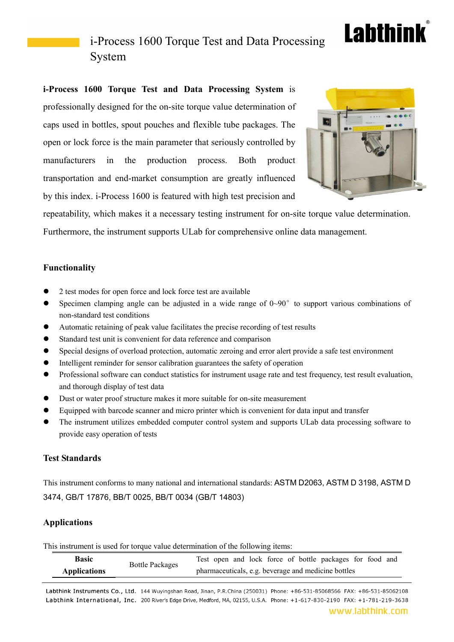# **Labthink**

## i-Process 1600 Torque Test and Data Processing System

**i-Process 1600 Torque Test and Data Processing System** is professionally designed for the on-site torque value determination of caps used in bottles, spout pouches and flexible tube packages. The open or lock force is the main parameter that seriously controlled by manufacturers in the production process. Both product transportation and end-market consumption are greatly influenced by this index. i-Process 1600 is featured with high test precision and



repeatability, which makes it a necessary testing instrument for on-site torque value determination. Furthermore, the instrument supports ULab for comprehensive online data management.

### **Functionality**

- 2 test modes for open force and lock force test are available
- $\bullet$  Specimen clamping angle can be adjusted in a wide range of  $0 \sim 90^\circ$  to support various combinations of non-standard test conditions
- Automatic retaining of peak value facilitates the precise recording of test results
- Standard test unit is convenient for data reference and comparison
- Special designs of overload protection, automatic zeroing and error alert provide a safe test environment
- Intelligent reminder for sensor calibration guarantees the safety of operation
- Professional software can conduct statistics for instrument usage rate and test frequency, test result evaluation, and thorough display of test data
- Dust or water proof structure makes it more suitable for on-site measurement
- Equipped with barcode scanner and micro printer which is convenient for data input and transfer
- The instrument utilizes embedded computer control system and supports ULab data processing software to provide easy operation of tests

#### **Test Standards**

This instrument conforms to many national and international standards: ASTM D2063, ASTM D 3198, ASTM D 3474, GB/T 17876, BB/T 0025, BB/T 0034 (GB/T 14803)

### **Applications**

This instrument is used for torque value determination of the following items:

| <b>Basic</b>        | <b>Bottle Packages</b> | Test open and lock force of bottle packages for food and |
|---------------------|------------------------|----------------------------------------------------------|
| <b>Applications</b> |                        | pharmaceuticals, e.g. beverage and medicine bottles      |

Labthink Instruments Co., Ltd. 144 Wuyingshan Road, Jinan, P.R.China (250031) Phone: +86-531-85068566 FAX: +86-531-85062108 Labthink International, Inc. 200 River's Edge Drive, Medford, MA, 02155, U.S.A. Phone: +1-617-830-2190 FAX: +1-781-219-3638